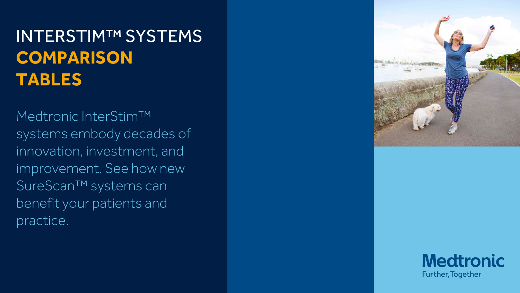Medtronic InterStim™ systems embody decades of innovation, investment, and improvement. See how new SureScan™ systems can benefit your patients and practice.



## **Medtronic** Further, Together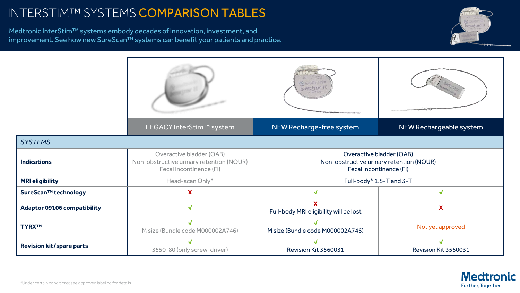Medtronic InterStim™ systems embody decades of innovation, investment, and improvement. See how new SureScan™ systems can benefit your patients and practice.





|                                    |                                                                                                        | 2) Madironic<br>INTER STIM' II                                                                         |                     |
|------------------------------------|--------------------------------------------------------------------------------------------------------|--------------------------------------------------------------------------------------------------------|---------------------|
|                                    | LEGACY InterStim™ system                                                                               | NEW Recharge-free system                                                                               | <b>NEW Recharge</b> |
| <b>SYSTEMS</b>                     |                                                                                                        |                                                                                                        |                     |
| <b>Indications</b>                 | Overactive bladder (OAB)<br>Non-obstructive urinary retention (NOUR)<br><b>Fecal Incontinence (FI)</b> | Overactive bladder (OAB)<br>Non-obstructive urinary retention (NOUR)<br><b>Fecal Incontinence (FI)</b> |                     |
| <b>MRI eligibility</b>             | Head-scan Only*                                                                                        | Full-body* 1.5-T and 3-T                                                                               |                     |
| SureScan™ technology               | X                                                                                                      | $\checkmark$                                                                                           |                     |
| <b>Adaptor 09106 compatibility</b> | √                                                                                                      | X<br>Full-body MRI eligibility will be lost                                                            | X                   |
| <b>TYRXTM</b>                      | M size (Bundle code M000002A746)                                                                       | M size (Bundle code M000002A746)                                                                       | Not yet ap          |
| <b>Revision kit/spare parts</b>    | 3550-80 (only screw-driver)                                                                            | Revision Kit 3560031                                                                                   | <b>Revision Kit</b> |

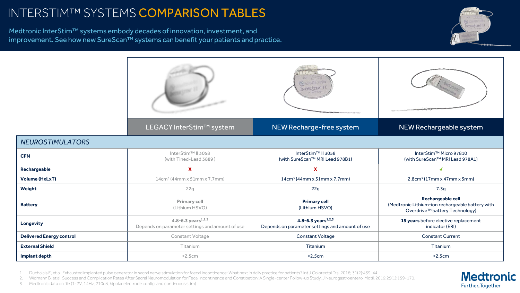Medtronic InterStim™ systems embody decades of innovation, investment, and improvement. See how new SureScan™ systems can benefit your patients and practice.



#### *NEUROSTIMULATORS*





| <b>CFN</b>                      | InterStim™ II 3058<br>(with Tined-Lead 3889)                             | InterStim™ II 3058<br>(with SureScan™ MRI Lead 978B1)                    | InterStim™ Micro 97<br>(with SureScan™ MRI Lead                                  |
|---------------------------------|--------------------------------------------------------------------------|--------------------------------------------------------------------------|----------------------------------------------------------------------------------|
| Rechargeable                    | X                                                                        | X                                                                        |                                                                                  |
| <b>Volume (HxLxT)</b>           | $14cm3$ (44mm x 51mm x 7.7mm)                                            | $14cm3$ (44mm x 51mm x 7.7mm)                                            | $2.8cm3$ (17mm x 47mm $\alpha$ )                                                 |
| Weight                          | 22g                                                                      | 22g                                                                      | 7.3g                                                                             |
| <b>Battery</b>                  | <b>Primary cell</b><br>(Lithium HSVO)                                    | <b>Primary cell</b><br>(Lithium HSVO)                                    | Rechargeable cell<br>(Medtronic Lithium-ion rechargea<br>Overdrive™ battery Tech |
| <b>Longevity</b>                | 4.8-6.3 years $1,2,3$<br>Depends on parameter settings and amount of use | 4.8-6.3 years $1,2,3$<br>Depends on parameter settings and amount of use | 15 years before elective rep<br>indicator (ERI)                                  |
| <b>Delivered Energy control</b> | <b>Constant Voltage</b>                                                  | <b>Constant Voltage</b>                                                  | <b>Constant Current</b>                                                          |
| <b>External Shield</b>          | Titanium                                                                 | Titanium                                                                 | Titanium                                                                         |
| Implant depth                   | < 2.5cm                                                                  | < 2.5cm                                                                  | < 2.5cm                                                                          |

Duchalais E, et al. Exhausted implanted pulse generator in sacral nerve stimulation for faecal incontinence: What next in daily practice for patients? Int J Colorectal Dis. 2016; 31(2):439-44.

2. Widmann B, et al. Success and Complication Rates After SacralNeuromodulation for Fecal Incontinence and Constipation: A Single-center Follow-up Study. J Neurogastroenterol Motil. 2019;25(1):159-170.

3. Medtronic data on file (1-2V, 14Hz, 210uS, bipolar electrode config, and continuous stim)

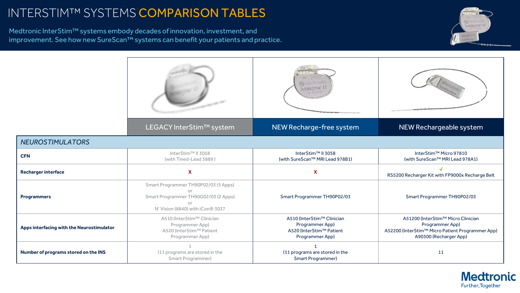Medtronic InterStim™ systems embody decades of innovation, investment, and improvement. See how new SureScan™ systems can benefit your patients and practice.



#### *NEUROSTIMULATORS*

| <b>CFN</b>                                | InterStim™ II 3058<br>(with Tined-Lead 3889)                                                                                             | InterStim™ II 3058<br>(with SureScan™ MRI Lead 978B1)                                        | InterStim™ M<br>(with SureScan™                                          |
|-------------------------------------------|------------------------------------------------------------------------------------------------------------------------------------------|----------------------------------------------------------------------------------------------|--------------------------------------------------------------------------|
| <b>Recharger interface</b>                | X                                                                                                                                        | χ                                                                                            | RS5200 Recharger Kit wit                                                 |
| <b>Programmers</b>                        | Smart Programmer TH90P02/03 (5 Apps)<br>or<br>Smart Programmer TH90G02/03 (2 Apps)<br>or<br>N' Vision (8840) with iCon <sup>®</sup> 3037 | Smart Programmer TH90P02/03                                                                  | <b>Smart Programm</b>                                                    |
| Apps interfacing with the Neurostimulator | A510 (InterStim™ Clinician<br>Programmer App)<br>A520 (InterStim™ Patient<br>Programmer App)                                             | A510 (InterStim™ Clinician<br>Programmer App)<br>A520 (InterStim™ Patient<br>Programmer App) | A51200 (InterStim<br>Programr<br>A52200 (InterStim™ Micro<br>A90300 (Rec |
| Number of programs stored on the INS      | (11 programs are stored in the<br>Smart Programmer)                                                                                      | (11 programs are stored in the<br><b>Smart Programmer)</b>                                   | 11                                                                       |





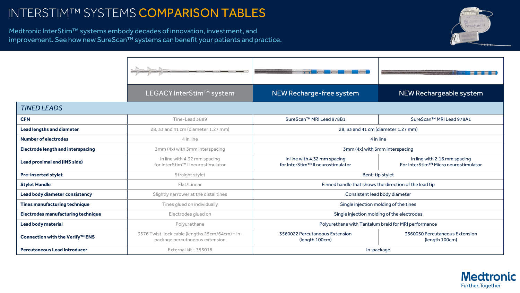Medtronic InterStim™ systems embody decades of innovation, investment, and improvement. See how new SureScan™ systems can benefit your patients and practice.

|                                             | LEGACY InterStim™ system                                                          | NEW Recharge-free system                                          | NEW Rechargeable system                                              |  |  |
|---------------------------------------------|-----------------------------------------------------------------------------------|-------------------------------------------------------------------|----------------------------------------------------------------------|--|--|
| <b>TINED LEADS</b>                          |                                                                                   |                                                                   |                                                                      |  |  |
| <b>CFN</b>                                  | Tine-Lead 3889                                                                    | SureScan™ MRI Lead 978B1                                          | SureScan™ MRI Lead 978A1                                             |  |  |
| <b>Lead lengths and diameter</b>            | 28, 33 and 41 cm (diameter 1.27 mm)                                               | 28, 33 and 41 cm (diameter 1.27 mm)                               |                                                                      |  |  |
| <b>Number of electrodes</b>                 | 4 in line                                                                         | 4 in line                                                         |                                                                      |  |  |
| <b>Electrode length and interspacing</b>    | 3mm (4x) with 3mm interspacing                                                    | 3mm (4x) with 3mm interspacing                                    |                                                                      |  |  |
| <b>Lead proximal end (INS side)</b>         | In line with 4.32 mm spacing<br>for InterStim™ II neurostimulator                 | In line with 4.32 mm spacing<br>for InterStim™ II neurostimulator | In line with 2.16 mm spacing<br>For InterStim™ Micro neurostimulator |  |  |
| <b>Pre-inserted stylet</b>                  | Straight stylet                                                                   | Bent-tip stylet                                                   |                                                                      |  |  |
| <b>Stylet Handle</b>                        | Flat/Linear                                                                       | Finned handle that shows the direction of the lead tip            |                                                                      |  |  |
| <b>Lead body diameter consistency</b>       | Slightly narrower at the distal tines                                             | Consistent lead body diameter                                     |                                                                      |  |  |
| <b>Tines manufacturing technique</b>        | Tines glued on individually                                                       | Single injection molding of the tines                             |                                                                      |  |  |
| <b>Electrodes manufacturing technique</b>   | Electrodes glued on                                                               | Single injection molding of the electrodes                        |                                                                      |  |  |
| <b>Lead body material</b>                   | Polyurethane                                                                      | Polyurethane with Tantalum braid for MRI performance              |                                                                      |  |  |
| Connection with the Verify <sup>™</sup> ENS | 3576 Twist-lock cable (lengths 25cm/64cm) + in-<br>package percutaneous extension | 3560022 Percutaneous Extension<br>(length 100cm)                  | 3560030 Percutaneous Extension<br>(length 100cm)                     |  |  |
| <b>Percutaneous Lead Introducer</b>         | External kit - 355018                                                             | In-package                                                        |                                                                      |  |  |



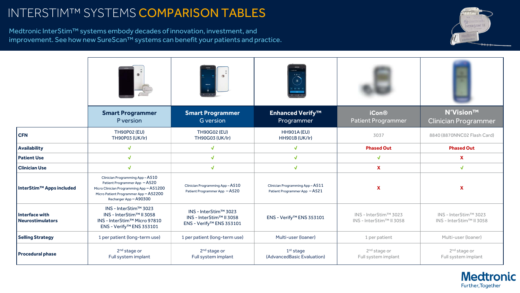Medtronic InterStim™ systems embody decades of innovation, investment, and improvement. See how new SureScan™ systems can benefit your patients and practice.

|                                           |                                                                                                                                                                                |                                                                               | $\begin{picture}(120,10) \put(0,0){\line(1,0){10}} \put(15,0){\line(1,0){10}} \put(15,0){\line(1,0){10}} \put(15,0){\line(1,0){10}} \put(15,0){\line(1,0){10}} \put(15,0){\line(1,0){10}} \put(15,0){\line(1,0){10}} \put(15,0){\line(1,0){10}} \put(15,0){\line(1,0){10}} \put(15,0){\line(1,0){10}} \put(15,0){\line(1,0){10}} \put(15,0){\line($ |                                                   |                                                   |
|-------------------------------------------|--------------------------------------------------------------------------------------------------------------------------------------------------------------------------------|-------------------------------------------------------------------------------|-----------------------------------------------------------------------------------------------------------------------------------------------------------------------------------------------------------------------------------------------------------------------------------------------------------------------------------------------------|---------------------------------------------------|---------------------------------------------------|
|                                           | <b>Smart Programmer</b><br>P version                                                                                                                                           | <b>Smart Programmer</b><br><b>G</b> version                                   | <b>Enhanced Verify™</b><br>Programmer                                                                                                                                                                                                                                                                                                               | <b>iCon®</b><br><b>Patient Programmer</b>         | <b>N'Vision™</b><br><b>Clinician Programmer</b>   |
| <b>CFN</b>                                | <b>TH90P02 (EU)</b><br><b>TH90P03 (UK/lr)</b>                                                                                                                                  | <b>TH90G02 (EU)</b><br><b>TH90G03 (UK/lr)</b>                                 | <b>HH901A (EU)</b><br><b>HH901B (UK/lr)</b>                                                                                                                                                                                                                                                                                                         | 3037                                              | 8840 (8870NNC02 Flash Card)                       |
| <b>Availability</b>                       | $\sqrt{ }$                                                                                                                                                                     | $\sqrt{2}$                                                                    | $\sqrt{2}$                                                                                                                                                                                                                                                                                                                                          | <b>Phased Out</b>                                 | <b>Phased Out</b>                                 |
| <b>Patient Use</b>                        | $\sqrt{2}$                                                                                                                                                                     | $\sqrt{ }$                                                                    | $\sqrt{ }$                                                                                                                                                                                                                                                                                                                                          | $\boldsymbol{J}$                                  | X                                                 |
| <b>Clinician Use</b>                      | $\sqrt{2}$                                                                                                                                                                     | $\sqrt{ }$                                                                    | $\sqrt{2}$                                                                                                                                                                                                                                                                                                                                          | $\mathbf x$                                       | $\sqrt{2}$                                        |
| InterStim™ Apps included                  | Clinician Programming App-A510<br>Patient Programmer App - A520<br>Micro Clinician Programming App - A51200<br>Micro Patient Programmer App - A52200<br>Recharger App - A90300 | Clinician Programming App-A510<br>Patient Programmer App - A520               | Clinician Programming App - A511<br>Patient Programmer App - A521                                                                                                                                                                                                                                                                                   | $\mathbf x$                                       | $\boldsymbol{\mathsf{X}}$                         |
| Interface with<br><b>Neurostimulators</b> | INS - InterStim™ 3023<br>INS - InterStim™ II 3058<br>INS - InterStim™ Micro 97810<br>ENS - Verify <sup>™</sup> ENS 353101                                                      | INS - InterStim™ 3023<br>INS - InterStim™ II 3058<br>ENS - Verify™ ENS 353101 | ENS - Verify™ ENS 353101                                                                                                                                                                                                                                                                                                                            | INS - InterStim™ 3023<br>INS - InterStim™ II 3058 | INS - InterStim™ 3023<br>INS - InterStim™ II 3058 |
| <b>Selling Strategy</b>                   | 1 per patient (long-term use)                                                                                                                                                  | 1 per patient (long-term use)                                                 | Multi-user (Ioaner)                                                                                                                                                                                                                                                                                                                                 | 1 per patient                                     | Multi-user (loaner)                               |
| <b>Procedural phase</b>                   | 2 <sup>nd</sup> stage or<br>Full system implant                                                                                                                                | 2 <sup>nd</sup> stage or<br>Full system implant                               | 1 <sup>st</sup> stage<br>(AdvancedBasic Evaluation)                                                                                                                                                                                                                                                                                                 | 2 <sup>nd</sup> stage or<br>Full system implant   | 2 <sup>nd</sup> stage or<br>Full system implant   |



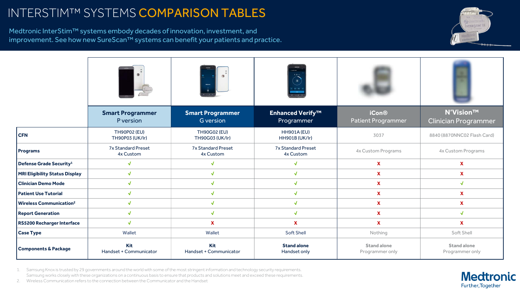Medtronic InterStim™ systems embody decades of innovation, investment, and improvement. See how new SureScan™ systems can benefit your patients and practice.

|                                           |                                               |                                               | $\overrightarrow{1.8}$<br>$\equiv$          |                                           |                                                 |
|-------------------------------------------|-----------------------------------------------|-----------------------------------------------|---------------------------------------------|-------------------------------------------|-------------------------------------------------|
|                                           | <b>Smart Programmer</b><br>P version          | <b>Smart Programmer</b><br><b>G</b> version   | <b>Enhanced Verify™</b><br>Programmer       | <b>iCon®</b><br><b>Patient Programmer</b> | <b>N'Vision™</b><br><b>Clinician Programmer</b> |
| <b>CFN</b>                                | <b>TH90P02 (EU)</b><br><b>TH90P03 (UK/lr)</b> | <b>TH90G02 (EU)</b><br><b>TH90G03 (UK/Ir)</b> | <b>HH901A (EU)</b><br><b>HH901B (UK/lr)</b> | 3037                                      | 8840 (8870NNC02 Flash Card)                     |
| <b>Programs</b>                           | <b>7x Standard Preset</b><br>4x Custom        | <b>7x Standard Preset</b><br>4x Custom        | <b>7x Standard Preset</b><br>4x Custom      | <b>4x Custom Programs</b>                 | <b>4x Custom Programs</b>                       |
| Defense Grade Security <sup>1</sup>       | J                                             | $\sqrt{2}$                                    |                                             | $\boldsymbol{\mathsf{X}}$                 | X                                               |
| <b>MRI Eligibility Status Display</b>     | $\bm{J}$                                      | $\sqrt{2}$                                    |                                             | $\mathbf x$                               | $\mathbf x$                                     |
| <b>Clinician Demo Mode</b>                | $\bm{J}$                                      | $\sqrt{ }$                                    |                                             | $\mathbf{X}$                              | $\sqrt{2}$                                      |
| <b>Patient Use Tutorial</b>               | $\sqrt{2}$                                    | $\sqrt{ }$                                    | $\sqrt{ }$                                  | $\mathbf{x}$                              | $\mathbf{X}$                                    |
| <b>Wireless Communication<sup>2</sup></b> | $\sqrt{ }$                                    | $\sqrt{ }$                                    | $\mathbf{J}$                                | $\mathbf x$                               | $\mathbf{x}$                                    |
| <b>Report Generation</b>                  | $\sqrt{2}$                                    | $\sqrt{ }$                                    | $\sqrt{ }$                                  | $\mathbf{x}$                              | $\sqrt{ }$                                      |
| <b>RS5200 Recharger Interface</b>         | $\sqrt{2}$                                    | $\mathbf x$                                   | $\mathbf{X}$                                | $\mathbf{x}$                              | $\mathbf x$                                     |
| <b>Case Type</b>                          | Wallet                                        | Wallet                                        | <b>Soft Shell</b>                           | Nothing                                   | Soft Shell                                      |
| <b>Components &amp; Package</b>           | Kit<br>Handset + Communicator                 | Kit<br>Handset + Communicator                 | <b>Stand alone</b><br>Handset only          | <b>Stand alone</b><br>Programmer only     | <b>Stand alone</b><br>Programmer only           |

1. Samsung Knox is trusted by 29 governments around the world with some of the most stringent information and technology security requirements. Samsung works closely with these organizations on a continuous basis to ensure that products and solutions meet and exceed these requirements.

2. Wireless Communication refers to the connection between the Communicator and the Handset